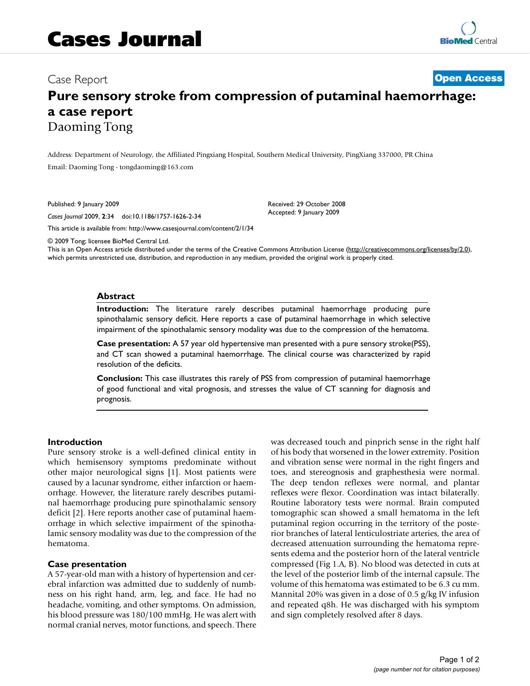# **Pure sensory stroke from compression of putaminal haemorrhage: a case report** Daoming Tong

Address: Department of Neurology, the Affiliated Pingxiang Hospital, Southern Medical University, PingXiang 337000, PR China Email: Daoming Tong - tongdaoming@163.com

Published: 9 January 2009

*Cases Journal* 2009, **2**:34 doi:10.1186/1757-1626-2-34

[This article is available from: http://www.casesjournal.com/content/2/1/34](http://www.casesjournal.com/content/2/1/34)

© 2009 Tong; licensee BioMed Central Ltd.

This is an Open Access article distributed under the terms of the Creative Commons Attribution License [\(http://creativecommons.org/licenses/by/2.0\)](http://creativecommons.org/licenses/by/2.0), which permits unrestricted use, distribution, and reproduction in any medium, provided the original work is properly cited.

Received: 29 October 2008 Accepted: 9 January 2009

#### **Abstract**

**Introduction:** The literature rarely describes putaminal haemorrhage producing pure spinothalamic sensory deficit. Here reports a case of putaminal haemorrhage in which selective impairment of the spinothalamic sensory modality was due to the compression of the hematoma.

**Case presentation:** A 57 year old hypertensive man presented with a pure sensory stroke(PSS), and CT scan showed a putaminal haemorrhage. The clinical course was characterized by rapid resolution of the deficits.

**Conclusion:** This case illustrates this rarely of PSS from compression of putaminal haemorrhage of good functional and vital prognosis, and stresses the value of CT scanning for diagnosis and prognosis.

#### **Introduction**

Pure sensory stroke is a well-defined clinical entity in which hemisensory symptoms predominate without other major neurological signs [1]. Most patients were caused by a lacunar syndrome, either infarction or haemorrhage. However, the literature rarely describes putaminal haemorrhage producing pure spinothalamic sensory deficit [2]. Here reports another case of putaminal haemorrhage in which selective impairment of the spinothalamic sensory modality was due to the compression of the hematoma.

#### **Case presentation**

A 57-year-old man with a history of hypertension and cerebral infarction was admitted due to suddenly of numbness on his right hand, arm, leg, and face. He had no headache, vomiting, and other symptoms. On admission, his blood pressure was 180/100 mmHg. He was alert with normal cranial nerves, motor functions, and speech. There was decreased touch and pinprich sense in the right half of his body that worsened in the lower extremity. Position and vibration sense were normal in the right fingers and toes, and stereognosis and graphesthesia were normal. The deep tendon reflexes were normal, and plantar reflexes were flexor. Coordination was intact bilaterally. Routine laboratory tests were normal. Brain computed tomographic scan showed a small hematoma in the left putaminal region occurring in the territory of the posterior branches of lateral lenticulostriate arteries, the area of decreased attenuation surrounding the hematoma represents edema and the posterior horn of the lateral ventricle compressed (Fig 1.A, B). No blood was detected in cuts at the level of the posterior limb of the internal capsule. The volume of this hematoma was estimated to be 6.3 cu mm. Mannital 20% was given in a dose of 0.5 g/kg IV infusion and repeated q8h. He was discharged with his symptom and sign completely resolved after 8 days.